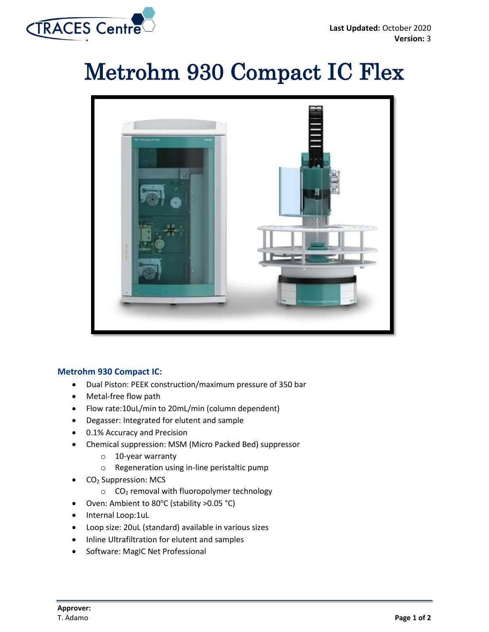

## Metrohm 930 Compact IC Flex



## **Metrohm 930 Compact IC:**

- Dual Piston: PEEK construction/maximum pressure of 350 bar
- Metal-free flow path
- Flow rate:10uL/min to 20mL/min (column dependent)
- Degasser: Integrated for elutent and sample
- 0.1% Accuracy and Precision
- Chemical suppression: MSM (Micro Packed Bed) suppressor
	- o 10-year warranty
	- o Regeneration using in-line peristaltic pump
- CO<sub>2</sub> Suppression: MCS
	- $\circ$  CO<sub>2</sub> removal with fluoropolymer technology
- Oven: Ambient to 80°C (stability >0.05 °C)
- Internal Loop:1uL
- Loop size: 20uL (standard) available in various sizes
- Inline Ultrafiltration for elutent and samples
- Software: MagIC Net Professional